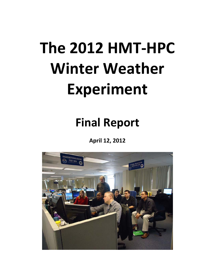# **The 2012 HMT‐HPC Winter Weather Experiment**

# **Final Report**

**April 12, 2012**

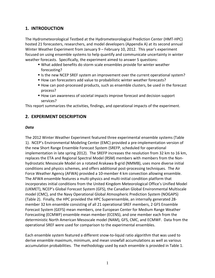# **1. INTRODUCTION**

The Hydrometeorological Testbed at the Hydrometeorological Prediction Center (HMT‐HPC) hosted 21 forecasters, researchers, and model developers (Appendix A) at its second annual Winter Weather Experiment from January 9 – February 10, 2012. This year's experiment focused on using ensemble systems to help quantify and communicate uncertainty in winter weather forecasts. Specifically, the experiment aimed to answer 5 questions:

- What added benefits do storm scale ensembles provide for winter weather forecasting?
- Is the new NCEP SREF system an improvement over the current operational system?
- How can forecasters add value to probabilistic winter weather forecasts?
- How can post-processed products, such as ensemble clusters, be used in the forecast process?
- How can awareness of societal impacts improve forecast and decision support services?

This report summarizes the activities, findings, and operational impacts of the experiment.

# **2. EXPERIMENT DESCRIPTION**

#### *Data*

The 2012 Winter Weather Experiment featured three experimental ensemble systems (Table 1). NCEP's Environmental Modeling Center (EMC) provided a pre‐implementation version of the new Short Range Ensemble Forecast System (SREFP, scheduled for operational implementation in late spring 2012). The SREFP increases the resolution from 32 km to 16 km, replaces the ETA and Regional Spectral Model (RSM) members with members from the Non‐ hydrostatic Mesoscale Model on a rotated Arakawa B‐grid (NMMB), uses more diverse initial conditions and physics schemes, and offers additional post‐processing techniques. The Air Force Weather Agency (AFWA) provided a 10‐member 4 km convection allowing ensemble. The AFWA ensemble features a multi‐physics and multi‐initial condition platform that incorporates initial conditions from the United Kingdom Meteorological Office's Unified Model (UKMET), NCEP's Global Forecast System (GFS), the Canadian Global Environmental Multiscale model (CMC), and the Navy Operational Global Atmospheric Prediction System (NOGAPS) (Table 2). Finally, the HPC provided the HPC Superensemble, an internally generated 28‐ member 32 km ensemble consisting of all 21 operational SREF members, 2 GFS Ensemble Forecast System (GEFS) mean members, one European Center for Medium Range Weather Forecasting (ECMWF) ensemble mean member (ECENS), and one member each from the deterministic North American Mesoscale model (NAM), GFS, CMC, and ECMWF. Data from the operational SREF were used for comparison to the experimental ensembles.

Each ensemble system featured a different snow‐to‐liquid ratio algorithm that was used to derive ensemble maximum, minimum, and mean snowfall accumulations as well as various accumulation probabilities. The methodology used by each ensemble is provided in Table 1.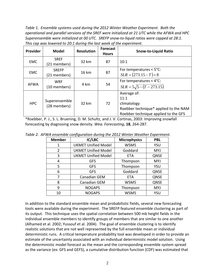*Table 1. Ensemble systems used during the 2012 Winter Weather Experiment. Both the operational and parallel versions of the SREF were initialized at 21 UTC while the AFWA and HPC* Superensemble were initialized at 00 UTC. SREFP snow-to-liquid ratios were capped at 28:1. *This cap was lowered to 20:1 during the last week of the experiment.*

| Provider    | <b>Model</b>                  | <b>Resolution</b> | <b>Forecast</b><br><b>Hours</b> | <b>Snow-to-Liquid Ratio</b>                                                                                         |
|-------------|-------------------------------|-------------------|---------------------------------|---------------------------------------------------------------------------------------------------------------------|
| <b>EMC</b>  | <b>SREF</b><br>(21 members)   | 32 km             | 87                              | 10:1                                                                                                                |
| <b>EMC</b>  | <b>SREFP</b><br>(21 members)  | 16 km             | 87                              | For temperatures $< 5^{\circ}$ C:<br>$SLR = (273.15 - T) + 8$                                                       |
| <b>AFWA</b> | <b>WRF</b><br>(10 members)    | 4 km              | 54                              | For temperatures $<$ 4 $°C$ :<br>$SLR = 5\sqrt{5 - (T - 273.15)}$                                                   |
| <b>HPC</b>  | Superensemble<br>(28 members) | 32 km             | 72                              | Average of:<br>11:1<br>climatology<br>Roebber technique* applied to the NAM<br>Roebber technique applied to the GFS |

\*Roebber, P. J., S. L. Bruening, D. M. Schultz, and J. V. Cortinas, 2003: Improving snowfall forecasting by diagnosing snow density. *Wea. Forecasting*, **18**, 264‐287.

| <b>Member</b>  | IC/LBC                     | <b>Microphysics</b> | <b>PBL</b> |
|----------------|----------------------------|---------------------|------------|
| 1              | <b>UKMET Unified Model</b> | WSM5                | YSU        |
| $\overline{2}$ | <b>UKMET Unified Model</b> | Goddard             | <b>MYJ</b> |
| 3              | <b>UKMET Unified Model</b> | <b>ETA</b>          | QNSE       |
| 4              | <b>GFS</b>                 | Thompson            | <b>MYJ</b> |
| 5              | <b>GFS</b>                 | Thompson            | YSU        |
| 6              | <b>GFS</b>                 | Goddard             | QNSE       |
| 7              | <b>Canadian GEM</b>        | <b>FTA</b>          | QNSE       |
| 8              | Canadian GEM               | WSM5                | QNSE       |
| 9              | <b>NOGAPS</b>              | Thompson            | <b>MYJ</b> |
| 10             | <b>NOGAPS</b>              | WSM5                | YSU        |

*Table 2. AFWA ensemble configuration during the 2012 Winter Weather Experiment.*

In addition to the standard ensemble mean and probabilistic fields, several new forecasting tools were available during the experiment. The SREFP featured ensemble clustering as part of its output. This technique uses the spatial correlation between 500 mb height fields in the individual ensemble members to identify groups of members that are similar to one another (Alhamed et al. 2002; Yussouf et al. 2004). The goal of ensemble clustering is to identify realistic solutions that are not well represented by the full ensemble mean or individual deterministic runs. A critical temperature probability tool was developed in order to provide an estimate of the uncertainty associated with an individual deterministic model solution. Using the deterministic model forecast as the mean and the corresponding ensemble system spread as the variance (ex: GFS and GEFS), a cumulative distribution function (CDF) was estimated that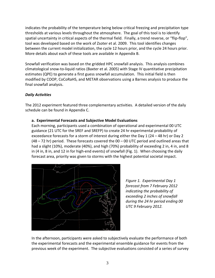indicates the probability of the temperature being below critical freezing and precipitation type thresholds at various levels throughout the atmosphere. The goal of this tool is to identify spatial uncertainty in critical aspects of the thermal field. Finally, a trend reverse, or "flip-flop", tool was developed based on the work of Zsoter et al. 2009. This tool identifies changes between the current model initialization, the cycle 12 hours prior, and the cycle 24 hours prior. More details about each of these tools are available in Appendix B.

Snowfall verification was based on the gridded HPC snowfall analysis. This analysis combines climatological snow‐to‐liquid ratios (Baxter et al. 2005) with Stage IV quantitative precipitation estimates (QPE) to generate a first guess snowfall accumulation. This initial field is then modified by COOP, CoCoRaHS, and METAR observations using a Barnes analysis to produce the final snowfall analysis.

#### *Daily Activities*

The 2012 experiment featured three complementary activities. A detailed version of the daily schedule can be found in Appendix C.

#### **a. Experimental Forecasts and Subjective Model Evaluations**

Each morning, participants used a combination of operational and experimental 00 UTC guidance (21 UTC for the SREF and SREFP) to create 24 hr experimental probability of exceedance forecasts for a storm of interest during either the Day 1 (24 – 48 hr) or Day 2  $(48 - 72 \text{ hr})$  period. These forecasts covered the  $00 - 00$  UTC period and outlined areas that had a slight (10%), moderate (40%), and high (70%) probability of exceeding 2 in, 4 in, and 8 in (4 in, 8 in, and 12 in for high‐end events) of snowfall (Fig. 1). When choosing the daily forecast area, priority was given to storms with the highest potential societal impact.



*Figure 1. Experimental Day 1 forecast from 7 February 2012 indicating the probability of exceeding 2 inches of snowfall during the 24 hr period ending 00 UTC 9 February 2012.*

In the afternoon, participants were asked to subjectively evaluate the performance of both the experimental forecasts and the experimental ensemble guidance for events from the previous week of the experiment. The subjective evaluations consisted of a series of survey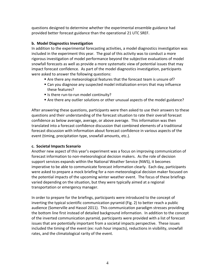questions designed to determine whether the experimental ensemble guidance had provided better forecast guidance than the operational 21 UTC SREF.

#### **b. Model Diagnostics Investigation**

In addition to the experimental forecasting activities, a model diagnostics investigation was included in the experiment this year. The goal of this activity was to conduct a more rigorous investigation of model performance beyond the subjective evaluations of model snowfall forecasts as well as provide a more systematic view of potential issues that may impact forecast confidence. As part of the model diagnostics investigation, participants were asked to answer the following questions:

- Are there any meteorological features that the forecast team is unsure of?
- Can you diagnose any suspected model initialization errors that may influence these features?
- Is there run-to-run model continuity?
- Are there any outlier solutions or other unusual aspects of the model guidance?

After answering these questions, participants were then asked to use their answers to these questions and their understanding of the forecast situation to rate their overall forecast confidence as below average, average, or above average. This information was then translated into a forecast confidence discussion that combined elements of a traditional forecast discussion with information about forecast confidence in various aspects of the event (timing, precipitation type, snowfall amounts, etc.).

#### **c. Societal Impacts Scenario**

Another new aspect of this year's experiment was a focus on improving communication of forecast information to non-meteorological decision makers. As the role of decision support services expands within the National Weather Service (NWS), it becomes imperative to be able to communicate forecast information clearly. Each day, participants were asked to prepare a mock briefing for a non‐meteorological decision maker focused on the potential impacts of the upcoming winter weather event. The focus of these briefings varied depending on the situation, but they were typically aimed at a regional transportation or emergency manager.

In order to prepare for the briefings, participants were introduced to the concept of inverting the typical scientific communication pyramid (Fig. 2) to better reach a public audience (Somerville and Hassol 2011). This communication paradigm stresses providing the bottom line first instead of detailed background information. In addition to the concept of the inverted communication pyramid, participants were provided with a list of forecast issues that are potentially important from a societal impacts perspective. These issues included the timing of the event (ex: rush hour impacts), reductions in visibility, snowfall rates, and the climatological rarity of the event.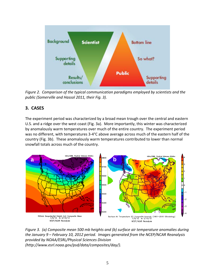

*Figure 2. Comparison of the typical communication paradigms employed by scientists and the public (Somerville and Hassol 2011, their Fig. 3).*

# **3. CASES**

The experiment period was characterized by a broad mean trough over the central and eastern U.S. and a ridge over the west coast (Fig. 3a). More importantly, this winter was characterized by anomalously warm temperatures over much of the entire country. The experiment period was no different, with temperatures 3-4°C above average across much of the eastern half of the country (Fig. 3b). These anomalously warm temperatures contributed to lower than normal snowfall totals across much of the country.



*Figure 3. (a) Composite mean 500 mb heights and (b) surface air temperature anomalies during the January 9 – February 10, 2012 period. Images generated from the NCEP/NCAR Reanalysis provided by NOAA/ESRL/Physical Sciences Division (http://www.esrl.noaa.gov/psd/data/composites/day/).*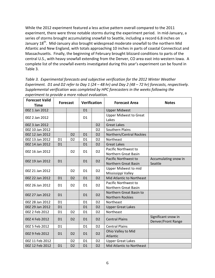While the 2012 experiment featured a less active pattern overall compared to the 2011 experiment, there were three notable storms during the experiment period. In mid-January, a series of storms brought accumulating snowfall to Seattle, including a record 6.8 inches on January  $18<sup>th</sup>$ . Mid-January also brought widespread moderate snowfall to the northern Mid Atlantic and New England, with totals approaching 10 inches in parts of coastal Connecticut and Massachusetts. Finally, the beginning of February brought blizzard conditions to parts of the central U.S., with heavy snowfall extending from the Denver, CO area east into western Iowa. A complete list of the snowfall events investigated during this year's experiment can be found in Table 3.

*Table 3. Experimental forecasts and subjective verification for the 2012 Winter Weather* Experiment. D1 and D2 refer to Day 1 (24 – 48 hr) and Day 2 (48 – 72 hr) forecasts, respectively. *Supplemental verification was completed by HPC forecasters in the weeks following the experiment to provide a more robust evaluation.*

| <b>Forecast Valid</b><br><b>Time</b> | <b>Forecast</b> |                | <b>Verification</b> |                | <b>Forecast Area</b>                               | <b>Notes</b>                              |
|--------------------------------------|-----------------|----------------|---------------------|----------------|----------------------------------------------------|-------------------------------------------|
| 00Z 1 Jan 2012                       |                 |                | D <sub>1</sub>      |                | <b>Upper Midwest</b>                               |                                           |
| 00Z 2 Jan 2012                       |                 |                | D <sub>1</sub>      |                | <b>Upper Midwest to Great</b><br>Lakes             |                                           |
| 00Z 3 Jan 2012                       |                 |                |                     | D <sub>2</sub> | <b>Great Lakes</b>                                 |                                           |
| 00Z 10 Jan 2012                      |                 |                |                     | D <sub>2</sub> | Southern Plains                                    |                                           |
| 00Z 12 Jan 2012                      |                 | D <sub>2</sub> | D <sub>1</sub>      | D <sub>2</sub> | Northern/Central Rockies                           |                                           |
| 00Z 13 Jan 2012                      | D <sub>1</sub>  | D <sub>2</sub> | D <sub>1</sub>      | D <sub>2</sub> | Northeast                                          |                                           |
| 00Z 14 Jan 2012                      | D <sub>1</sub>  |                | D <sub>1</sub>      | D <sub>2</sub> | <b>Great Lakes</b>                                 |                                           |
| 00Z 16 Jan 2012                      |                 | D <sub>2</sub> | D <sub>1</sub>      | D <sub>2</sub> | Pacific Northwest to<br>Northern Great Basin       |                                           |
| 00Z 19 Jan 2012                      | D <sub>1</sub>  |                | D <sub>1</sub>      | D <sub>2</sub> | Pacific Northwest to<br>Northern Great Basin       | Accumulating snow in<br>Seattle           |
| 00Z 21 Jan 2012                      |                 | D <sub>2</sub> | D <sub>1</sub>      | D <sub>2</sub> | Upper Midwest to mid<br>Mississippi Valley         |                                           |
| 00Z 22 Jan 2012                      | D <sub>1</sub>  | D <sub>2</sub> | D <sub>1</sub>      | D <sub>2</sub> | Mid Atlantic to Northeast                          |                                           |
| 00Z 26 Jan 2012                      | D <sub>1</sub>  | D <sub>2</sub> | D <sub>1</sub>      | D <sub>2</sub> | Pacific Northwest to<br>Northern Great Basin       |                                           |
| 00Z 27 Jan 2012                      | D <sub>1</sub>  |                | D <sub>1</sub>      | D <sub>2</sub> | Northern Great Basin to<br><b>Northern Rockies</b> |                                           |
| 00Z 28 Jan 2012                      | D <sub>1</sub>  |                | D <sub>1</sub>      | D <sub>2</sub> | Northeast                                          |                                           |
| 00Z 29 Jan 2012                      | D <sub>1</sub>  |                | D <sub>1</sub>      | D <sub>2</sub> | <b>Upper Great Lakes</b>                           |                                           |
| 00Z 2 Feb 2012                       | D <sub>1</sub>  | D <sub>2</sub> | D <sub>1</sub>      | D <sub>2</sub> | Northeast                                          |                                           |
| 00Z 4 Feb 2012                       | D <sub>1</sub>  | D <sub>2</sub> | D <sub>1</sub>      | D <sub>2</sub> | <b>Central Plains</b>                              | Significant snow in<br>Denver/Front Range |
| 00Z 5 Feb 2012                       | D <sub>1</sub>  |                | D <sub>1</sub>      | D <sub>2</sub> | <b>Central Plains</b>                              |                                           |
| 00Z 9 Feb 2012                       | D <sub>1</sub>  | D <sub>2</sub> | D <sub>1</sub>      | D <sub>2</sub> | Ohio Valley to Mid<br>Atlantic                     |                                           |
| 00Z 11 Feb 2012                      |                 | D <sub>2</sub> | D <sub>1</sub>      | D <sub>2</sub> | <b>Upper Great Lakes</b>                           |                                           |
| 00Z 12 Feb 2012                      | D <sub>1</sub>  | D <sub>2</sub> | D <sub>1</sub>      | D <sub>2</sub> | Mid Atlantic to Northeast                          |                                           |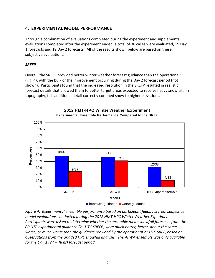### **4. EXPERIMENTAL MODEL PERFORMANCE**

Through a combination of evaluations completed during the experiment and supplemental evaluations completed after the experiment ended, a total of 38 cases were evaluated, 19 Day 1 forecasts and 19 Day 2 forecasts. All of the results shown below are based on these subjective evaluations.

#### *SREFP*

Overall, the SREFP provided better winter weather forecast guidance than the operational SREF (Fig. 4), with the bulk of the improvement occurring during the Day 2 forecast period (not shown). Participants found that the increased resolution in the SREFP resulted in realistic forecast details that allowed them to better target areas expected to receive heavy snowfall. In topography, this additional detail correctly confined snow to higher elevations.



**2012 HMT-HPC Winter Weather Experiment Experimental Ensemble Performance Compared to the SREF**

*Figure 4. Experimental ensemble performance based on participant feedback from subjective model evaluations conducted during the 2012 HMT‐HPC Winter Weather Experiment. Participants were asked to determine whether the ensemble mean snowfall forecasts from the 00 UTC experimental guidance (21 UTC SREFP) were much better, better, about the same, worse, or much worse than the guidance provided by the operational 21 UTC SREF, based on observations from the gridded HPC snowfall analysis. The AFWA ensemble was only available for the Day 1 (24 – 48 hr) forecast period.*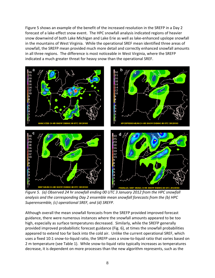Figure 5 shows an example of the benefit of the increased resolution in the SREFP in a Day 2 forecast of a lake-effect snow event. The HPC snowfall analysis indicated regions of heavier snow downwind of both Lake Michigan and Lake Erie as well as lake‐enhanced upslope snowfall in the mountains of West Virginia. While the operational SREF mean identified three areas of snowfall, the SREFP mean provided much more detail and correctly enhanced snowfall amounts in all three regions. The difference is most noticeable in West Virginia, where the SREFP indicated a much greater threat for heavy snow than the operational SREF.



*Figure 5. (a) Observed 24 hr snowfall ending 00 UTC 3 January 2012 from the HPC snowfall analysis and the corresponding Day 2 ensemble mean snowfall forecasts from the (b) HPC Superensemble, (c) operational SREF, and (d) SREFP.*

Although overall the mean snowfall forecasts from the SREFP provided improved forecast guidance, there were numerous instances where the snowfall amounts appeared to be too high, especially as surface temperatures decreased. Similarly, while the SREFP generally provided improved probabilistic forecast guidance (Fig. 6), at times the snowfall probabilities appeared to extend too far back into the cold air. Unlike the current operational SREF, which uses a fixed 10:1 snow-to-liquid ratio, the SREFP uses a snow-to-liquid ratio that varies based on 2 m temperature (see Table 1). While snow-to-liquid ratio typically increases as temperatures decrease, it is dependent on more processes than the new algorithm represents, such as the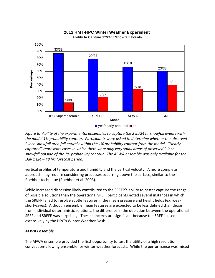

#### **2012 HMT-HPC Winter Weather Experiment Ability to Capture 2"/24hr Snowfall Events**

*Figure 6. Ability of the experimental ensembles to capture the 2 in/24 hr snowfall events with the model 1% probability contour. Participants were asked to determine whether the observed 2 inch snowfall area fell entirely within the 1% probability contour from the model. "Nearly captured" represents cases in which there were only very small areas of observed 2 inch snowfall outside of the 1% probability contour. The AFWA ensemble was only available for the Day 1 (24 – 48 hr) forecast period.*

vertical profiles of temperature and humidity and the vertical velocity. A more complete approach may require considering processes occurring above the surface, similar to the Roebber technique (Roebber et al. 2003).

While increased dispersion likely contributed to the SREFP's ability to better capture the range of possible solutions than the operational SREF, participants noted several instances in which the SREFP failed to resolve subtle features in the mean pressure and height fields (ex: weak shortwaves). Although ensemble mean features are expected to be less defined than those from individual deterministic solutions, the difference in the depiction between the operational SREF and SREFP was surprising. These concerns are significant because the SREF is used extensively by the HPC's Winter Weather Desk.

#### *AFWA Ensemble*

The AFWA ensemble provided the first opportunity to test the utility of a high resolution convection‐allowing ensemble for winter weather forecasts. While the performance was mixed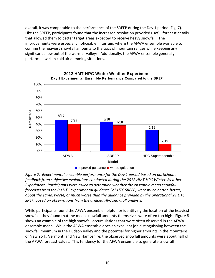overall, it was comparable to the performance of the SREFP during the Day 1 period (Fig. 7). Like the SREFP, participants found that the increased resolution provided useful forecast details that allowed them to better target areas expected to receive heavy snowfall. The improvements were especially noticeable in terrain, where the AFWA ensemble was able to confine the heaviest snowfall amounts to the tops of mountain ranges while keeping any significant snow out of the warmer valleys. Additionally, the AFWA ensemble generally performed well in cold air damming situations.





*Figure 7. Experimental ensemble performance for the Day 1 period based on participant feedback from subjective evaluations conducted during the 2012 HMT‐HPC Winter Weather Experiment. Participants were asked to determine whether the ensemble mean snowfall forecasts from the 00 UTC experimental guidance (21 UTC SREFP) were much better, better, about the same, worse, or much worse than the guidance provided by the operational 21 UTC SREF, based on observations from the gridded HPC snowfall analysis.*

While participants found the AFWA ensemble helpful for identifying the location of the heaviest snowfall, they found that the mean snowfall amounts themselves were often too high. Figure 8 shows an example of the high snowfall accumulations that were often observed in the AFWA ensemble mean. While the AFWA ensemble does an excellent job distinguishing between the snowfall minimum in the Hudson Valley and the potential for higher amounts in the mountains of New York, Vermont, and New Hampshire, the observed snowfall amounts were about half of the AFWA forecast values. This tendency for the AFWA ensemble to generate snowfall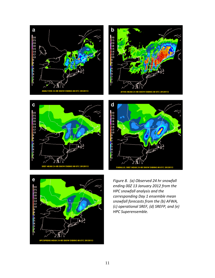









*Figure 8. (a) Observed 24 hr snowfall ending 00Z 13 January 2012 from the HPC snowfall analysis and the corresponding Day 1 ensemble mean snowfall forecasts from the (b) AFWA, (c) operational SREF, (d) SREFP, and (e) HPC Superensemble.*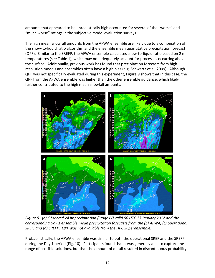amounts that appeared to be unrealistically high accounted for several of the "worse" and "much worse" ratings in the subjective model evaluation surveys.

The high mean snowfall amounts from the AFWA ensemble are likely due to a combination of the snow‐to‐liquid ratio algorithm and the ensemble mean quantitative precipitation forecast (QPF). Similar to the SREFP, the AFWA ensemble calculates snow‐to‐liquid ratio based on 2 m temperatures (see Table 1), which may not adequately account for processes occurring above the surface. Additionally, previous work has found that precipitation forecasts from high resolution models and ensembles often have a high bias (e.g. Schwartz et al. 2009). Although QPF was not specifically evaluated during this experiment, Figure 9 shows that in this case, the QPF from the AFWA ensemble was higher than the other ensemble guidance, which likely further contributed to the high mean snowfall amounts.



*Figure 9. (a) Observed 24 hr precipitation (Stage IV) valid 00 UTC 13 January 2012 and the corresponding Day 1 ensemble mean precipitation forecasts from the (b) AFWA, (c) operational SREF, and (d) SREFP. QPF was not available from the HPC Superensemble.*

Probabilistically, the AFWA ensemble was similar to both the operational SREF and the SREFP during the Day 1 period (Fig. 10). Participants found that it was generally able to capture the range of possible solutions, but that the amount of detail resulted in discontinuous probability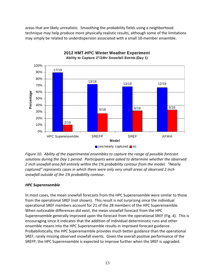areas that are likely unrealistic. Smoothing the probability fields using a neighborhood technique may help produce more physically realistic results, although some of the limitations may simply be related to underdispersion associated with a small 10-member ensemble.



**2012 HMT-HPC Winter Weather Experiment Ability to Capture 2"/24hr Snowfall Events (Day 1)**

*Figure 10. Ability of the experimental ensembles to capture the range of possible forecast solutions during the Day 1 period. Participants were asked to determine whether the observed 2 inch snowfall area fell entirely within the 1% probability contour from the model. "Nearly captured" represents cases in which there were only very small areas of observed 2 inch snowfall outside of the 1% probability contour.*

#### *HPC Superensemble*

In most cases, the mean snowfall forecasts from the HPC Superensemble were similar to those from the operational SREF (not shown). This result is not surprising since the individual operational SREF members account for 21 of the 28 members of the HPC Superensemble. When noticeable differences did exist, the mean snowfall forecast from the HPC Superensemble generally improved upon the forecast from the operational SREF (Fig. 4). This is encouraging since it indicates that the addition of individual deterministic runs and other ensemble means into the HPC Superensemble results in improved forecast guidance. Probabilistically, the HPC Superensemble provides much better guidance than the operational SREF, rarely missing observed snowfall events. Given the overall positive performance of the SREFP, the HPC Superensemble is expected to improve further when the SREF is upgraded.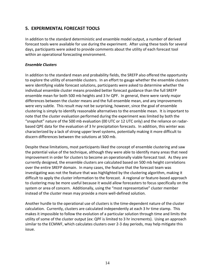# **5. EXPERIMENTAL FORECAST TOOLS**

In addition to the standard deterministic and ensemble model output, a number of derived forecast tools were available for use during the experiment. After using these tools for several days, participants were asked to provide comments about the utility of each forecast tool within an operational forecasting environment.

#### *Ensemble Clusters*

In addition to the standard mean and probability fields, the SREFP also offered the opportunity to explore the utility of ensemble clusters. In an effort to gauge whether the ensemble clusters were identifying viable forecast solutions, participants were asked to determine whether the individual ensemble cluster means provided better forecast guidance than the full SREFP ensemble mean for both 500 mb heights and 3 hr QPF. In general, there were rarely major differences between the cluster means and the full ensemble mean, and any improvements were very subtle. This result may not be surprising, however, since the goal of ensemble clustering is simply to identify reasonable alternatives to the ensemble mean. It is important to note that the cluster evaluation performed during the experiment was limited by both the "snapshot" nature of the 500 mb evaluation (00 UTC or 12 UTC only) and the reliance on radar‐ based QPE data for the evaluation of 3 hr precipitation forecasts. In addition, this winter was characterized by a lack of strong upper level systems, potentially making it more difficult to discern differences between the solutions at 500 mb.

Despite these limitations, most participants liked the concept of ensemble clustering and saw the potential value of the technique, although they were able to identify many areas that need improvement in order for clusters to become an operationally viable forecast tool. As they are currently designed, the ensemble clusters are calculated based on 500 mb height correlations over the entire SREFP domain. In many cases, the feature that the forecast team was investigating was not the feature that was highlighted by the clustering algorithm, making it difficult to apply the cluster information to the forecast. A regional or feature‐based approach to clustering may be more useful because it would allow forecasters to focus specifically on the system or area of concern. Additionally, using the "most representative" cluster member instead of the cluster mean may provide a more well-defined solution.

Another hurdle to the operational use of clusters is the time‐dependent nature of the cluster calculation. Currently, clusters are calculated independently at each 3 hr time stamp. This makes it impossible to follow the evolution of a particular solution through time and limits the utility of some of the cluster output (ex: QPF is limited to 3 hr increments). Using an approach similar to the ECMWF, which calculates clusters over 2‐3 day periods, may help mitigate this issue.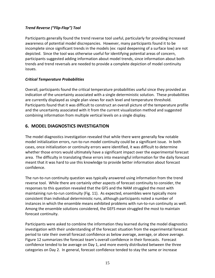#### *Trend Reverse ("Flip‐Flop") Tool*

Participants generally found the trend reverse tool useful, particularly for providing increased awareness of potential model discrepancies. However, many participants found it to be incomplete since significant trends in the models (ex: rapid deepening of a surface low) are not depicted. Since the tool was otherwise useful for identifying potential areas of concern, participants suggested adding information about model trends, since information about both trends and trend reversals are needed to provide a complete depiction of model continuity issues.

#### *Critical Temperature Probabilities*

Overall, participants found the critical temperature probabilities useful since they provided an indication of the uncertainty associated with a single deterministic solution. These probabilities are currently displayed as single plan views for each level and temperature threshold. Participants found that it was difficult to construct an overall picture of the temperature profile and the uncertainty associated with it from the current visualization method and suggested combining information from multiple vertical levels on a single display.

# **6. MODEL DIAGNOSTICS INVESTIGATION**

The model diagnostics investigation revealed that while there were generally few notable model initialization errors, run-to-run model continuity could be a significant issue. In both cases, once initialization or continuity errors were identified, it was difficult to determine whether those errors would ultimately have a significant impact over the experimental forecast area. The difficulty in translating these errors into meaningful information for the daily forecast meant that it was hard to use this knowledge to provide better information about forecast confidence.

The run-to-run continuity question was typically answered using information from the trend reverse tool. While there are certainly other aspects of forecast continuity to consider, the responses to this question revealed that the GFS and the NAM struggled the most with maintaining run‐to‐run continuity (Fig. 11). As expected, ensembles were typically more consistent than individual deterministic runs, although participants noted a number of instances in which the ensemble means exhibited problems with run-to-run continuity as well. Among the ensemble solutions considered, the GEFS mean struggled the most to maintain forecast continuity.

Participants were asked to combine the information they learned during the model diagnostics investigation with their understanding of the forecast situation from the experimental forecast period to rate their overall forecast confidence as below average, average, or above average. Figure 12 summarizes the forecast team's overall confidence in their forecasts. Forecast confidence tended to be average on Day 1, and more evenly distributed between the three categories on Day 2. In general, forecast confidence tended to stay the same or increase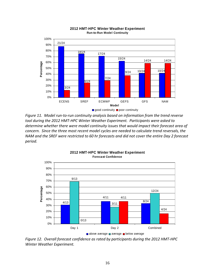

**2012 HMT-HPC Winter Weather Experiment Run-to-Run Model Continuity**

*Figure 11. Model run‐to‐run continuity analysis based on information from the trend reverse tool during the 2012 HMT‐HPC Winter Weather Experiment. Participants were asked to determine whether there were model continuity issues that would impact their forecast area of concern. Since the three most recent model cycles are needed to calculate trend reversals, the* NAM and the SREF were restricted to 60 hr forecasts and did not cover the entire Day 2 forecast *period.*



**2012 HMT-HPC Winter Weather Experiment Forecast Confidence**

*Figure 12. Overall forecast confidence as rated by participants during the 2012 HMT‐HPC Winter Weather Experiment.*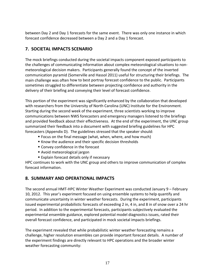between Day 2 and Day 1 forecasts for the same event. There was only one instance in which forecast confidence decreased between a Day 2 and a Day 1 forecast.

# **7. SOCIETAL IMPACTS SCENARIO**

The mock briefings conducted during the societal impacts component exposed participants to the challenges of communicating information about complex meteorological situations to non‐ meteorological decision makers. Participants generally found the concept of the inverted communication pyramid (Somerville and Hassol 2011) useful for structuring their briefings. The main challenge was often how to best portray forecast confidence to the public. Participants sometimes struggled to differentiate between projecting confidence and authority in the delivery of their briefing and conveying their level of forecast confidence.

This portion of the experiment was significantly enhanced by the collaboration that developed with researchers from the University of North Carolina (UNC) Institute for the Environment. Starting during the second week of the experiment, three scientists working to improve communications between NWS forecasters and emergency managers listened to the briefings and provided feedback about their effectiveness. At the end of the experiment, the UNC group summarized their feedback into a document with suggested briefing guidelines for HPC forecasters (Appendix D). The guidelines stressed that the speaker should:

- Focus on the final message (what, when, where, and how much)
- Know the audience and their specific decision thresholds
- Convey confidence in the forecast
- Avoid meteorological jargon
- **Explain forecast details only if necessary**

HPC continues to work with the UNC group and others to improve communication of complex forecast information.

# **8. SUMMARY AND OPERATIONAL IMPACTS**

The second annual HMT‐HPC Winter Weather Experiment was conducted January 9 – February 10, 2012. This year's experiment focused on using ensemble systems to help quantify and communicate uncertainty in winter weather forecasts. During the experiment, participants issued experimental probabilistic forecasts of exceeding 2 in, 4 in, and 8 in of snow over a 24 hr period. In addition to the experimental forecasts, participants subjectively evaluated the experimental ensemble guidance, explored potential model diagnostics issues, rated their overall forecast confidence, and participated in mock societal impacts briefings.

The experiment revealed that while probabilistic winter weather forecasting remains a challenge, higher resolution ensembles can provide important forecast details. A number of the experiment findings are directly relevant to HPC operations and the broader winter weather forecasting community: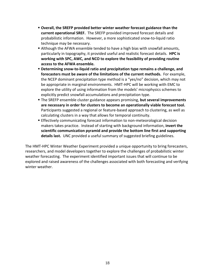- **Overall, the SREFP provided better winter weather forecast guidance than the current operational SREF.** The SREFP provided improved forecast details and probabilistic information. However, a more sophisticated snow‐to‐liquid ratio technique may be necessary.
- Although the AFWA ensemble tended to have a high bias with snowfall amounts, particularly in topography, it provided useful and realistic forecast details. **HPC is working with SPC, AWC, and NCO to explore the feasibility of providing routine access to the AFWA ensemble.**
- **Determining snow‐to‐liquid ratio and precipitation type remains a challenge, and forecasters must be aware of the limitations of the current methods.** For example, the NCEP dominant precipitation type method is a "yes/no" decision, which may not be appropriate in marginal environments. HMT‐HPC will be working with EMC to explore the utility of using information from the models' microphysics schemes to explicitly predict snowfall accumulations and precipitation type.
- The SREFP ensemble cluster guidance appears promising, **but several improvements are necessary in order for clusters to become an operationally viable forecast tool.** Participants suggested a regional or feature‐based approach to clustering, as well as calculating clusters in a way that allows for temporal continuity.
- Effectively communicating forecast information to non-meteorological decision makers takes practice. Instead of starting with background information, **invert the scientific communication pyramid and provide the bottom line first and supporting details last.** UNC provided a useful summary of suggested briefing guidelines.

The HMT‐HPC Winter Weather Experiment provided a unique opportunity to bring forecasters, researchers, and model developers together to explore the challenges of probabilistic winter weather forecasting. The experiment identified important issues that will continue to be explored and raised awareness of the challenges associated with both forecasting and verifying winter weather.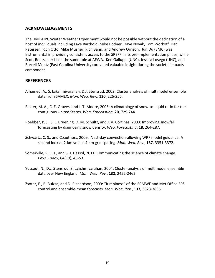### **ACKNOWLEDGEMENTS**

The HMT‐HPC Winter Weather Experiment would not be possible without the dedication of a host of individuals including Faye Barthold, Mike Bodner, Dave Novak, Tom Workoff, Dan Petersen, Rich Otto, Mike Musher, Rich Bann, and Andrew Orrison. Jun Du (EMC) was instrumental in providing consistent access to the SREFP in its pre-implementation phase, while Scott Rentschler filled the same role at AFWA. Ken Galluppi (UNC), Jessica Losego (UNC), and Burrell Montz (East Carolina University) provided valuable insight during the societal impacts component.

#### **REFERENCES**

- Alhamed, A., S. Lakshmivarahan, D.J. Stensrud, 2002: Cluster analysis of multimodel ensemble data from SAMEX. *Mon. Wea. Rev.*, **130**, 226‐256.
- Baxter, M. A., C. E. Graves, and J. T. Moore, 2005: A climatology of snow-to-liquid ratio for the contiguous United States. *Wea. Forecasting*, **20**, 729‐744.
- Roebber, P. J., S. L. Bruening, D. M. Schultz, and J. V. Cortinas, 2003: Improving snowfall forecasting by diagnosing snow density. *Wea. Forecasting*, **18**, 264‐287.
- Schwartz, C. S., and Coauthors, 2009: Nest‐day convection‐allowing WRF model guidance: A second look at 2‐km versus 4‐km grid spacing. *Mon. Wea. Rev.*, **137**, 3351‐3372.
- Somerville, R. C. J., and S. J. Hassol, 2011: Communicating the science of climate change. *Phys. Today*, **64**(10), 48‐53.
- Yussouf, N., D.J. Stensrud, S. Lakshmivarahan, 2004: Cluster analysis of multimodel ensemble data over New England. *Mon. Wea. Rev.*, **132**, 2452‐2462.
- Zsoter, E., R. Buizza, and D. Richardson, 2009: "Jumpiness" of the ECMWF and Met Office EPS control and ensemble‐mean forecasts. *Mon. Wea. Rev.*, **137**, 3823‐3836.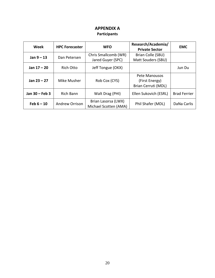# **APPENDIX A Participants**

| Week           | <b>HPC Forecaster</b> | <b>WFO</b>                                   | Research/Academia/<br><b>Private Sector</b>            | <b>EMC</b>          |
|----------------|-----------------------|----------------------------------------------|--------------------------------------------------------|---------------------|
| Jan $9 - 13$   | Dan Petersen          | Chris Smallcomb (WR)<br>Jared Guyer (SPC)    | Brian Colle (SBU)<br>Matt Souders (SBU)                |                     |
| Jan 17 - 20    | Rich Otto             | Jeff Tongue (OKX)                            |                                                        | Jun Du              |
| Jan $23 - 27$  | Mike Musher           | Rob Cox (CYS)                                | Pete Manousos<br>(First Energy)<br>Brian Cerruti (MDL) |                     |
| Jan 30 - Feb 3 | <b>Rich Bann</b>      | Walt Drag (PHI)                              | Ellen Sukovich (ESRL)                                  | <b>Brad Ferrier</b> |
| $Feb 6 - 10$   | Andrew Orrison        | Brian Lasorsa (LWX)<br>Michael Scotten (AMA) | Phil Shafer (MDL)                                      | DaNa Carlis         |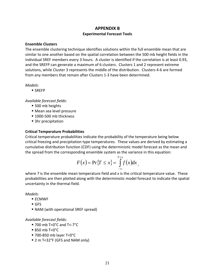# **APPENDIX B Experimental Forecast Tools**

#### **Ensemble Clusters**

The ensemble clustering technique identifies solutions within the full ensemble mean that are similar to one another based on the spatial correlation between the 500 mb height fields in the individual SREF members every 3 hours. A cluster is identified if the correlation is at least 0.93, and the SREFP can generate a maximum of 6 clusters. Clusters 1 and 2 represent extreme solutions, while Cluster 3 represents the middle of the distribution. Clusters 4‐6 are formed from any members that remain after Clusters 1‐3 have been determined.

*Models:*

■ SREFP

*Available forecast fields:*

- 500 mb heights
- Mean sea level pressure
- 1000-500 mb thickness
- 3hr precipitation

#### **Critical Temperature Probabilities**

Critical temperature probabilities indicate the probability of the temperature being below critical freezing and precipitation type temperatures. These values are derived by estimating a cumulative distribution function (CDF) using the deterministic model forecast as the mean and the spread from the corresponding ensemble system as the variance in this equation:

$$
F(x) = \Pr\{T \le x\} = \int_{-\infty}^{T \le x} f(x) dx,
$$

where *T* is the ensemble mean temperature field and *x* is the critical temperature value. These probabilities are then plotted along with the deterministic model forecast to indicate the spatial uncertainty in the thermal field.

*Models:*

- ECMWF
- GFS
- NAM (with operational SREF spread)

*Available forecast fields:*

- 700 mb T<0°C and T<-7°C
- 850 mb T<0°C
- 700-850 mb layer T<0°C
- 2 m T<32°F (GFS and NAM only)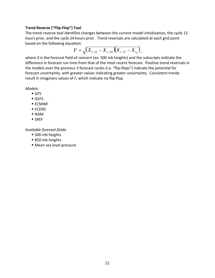#### **Trend Reverse ("Flip‐Flop") Tool**

The trend reverse tool identifies changes between the current model initialization, the cycle 12 hours prior, and the cycle 24 hours prior. Trend reversals are calculated at each grid point based on the following equation:

$$
F = \sqrt{(X_{t-12} - X_{t-24})(X_{t-12} - X_{t_0})},
$$

where *X* is the forecast field of concern (ex: 500 mb heights) and the subscripts indicate the difference in forecast run time from that of the most recent forecast. Positive trend reversals in the models over the previous 3 forecast cycles (i.e. "flip-flops") indicate the potential for forecast uncertainty, with greater values indicating greater uncertainty. Consistent trends result in imaginary values of *F*, which indicate no flip‐flop.

*Models:*

- GFS
- GEFS
- ECMWF
- ECENS
- NAM
- SREF

*Available forecast fields:*

- **500 mb heights**
- 850 mb heights
- Mean sea level pressure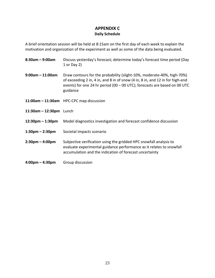# **APPENDIX C Daily Schedule**

A brief orientation session will be held at 8:15am on the first day of each week to explain the motivation and organization of the experiment as well as some of the data being evaluated.

- **8:30am – 9:00am** Discuss yesterday's forecast; determine today's forecast time period (Day 1 or Day 2) **9:00am – 11:00am** Draw contours for the probability (slight‐10%, moderate‐40%, high‐70%) of exceeding 2 in, 4 in, and 8 in of snow (4 in, 8 in, and 12 in for high‐end events) for one 24 hr period (00 – 00 UTC); forecasts are based on 00 UTC guidance **11:00am – 11:30am** HPC‐CPC map discussion **11:30am – 12:30pm** Lunch **12:30pm – 1:30pm** Model diagnostics investigation and forecast confidence discussion **1:30pm – 2:30pm** Societal impacts scenario **2:30pm – 4:00pm** Subjective verification using the gridded HPC snowfall analysis to evaluate experimental guidance performance as it relates to snowfall accumulation and the indication of forecast uncertainty
- **4:00pm – 4:30pm** Group discussion